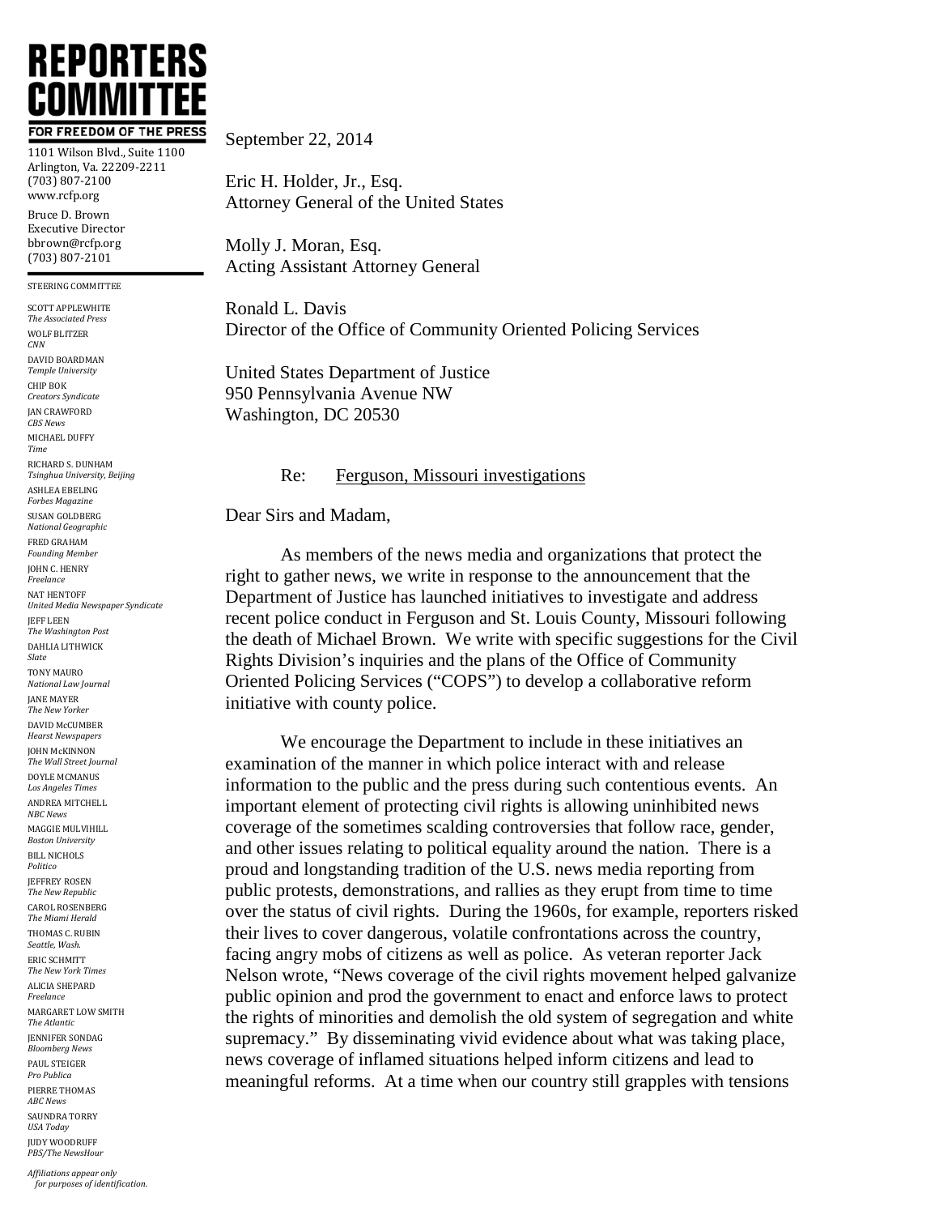

1101 Wilson Blvd., Suite 1100 Arlington, Va. 22209-2211 (703) 807-2100 www.rcfp.org Bruce D. Brown Executive Director bbrown@rcfp.org (703) 807-2101

STEERING COMMITTEE

SCOTT APPLEWHITE *The Associated Press* WOLF BLITZER *CNN* DAVID BOARDMAN *Temple University* CHIP BOK *Creators Syndicate* **JAN CRAWFORD** *CBS News* MICHAEL DUFFY *Time* RICHARD S. DUNHAM *Tsinghua University, Beijing* ASHLEA EBELING *Forbes Magazine* SUSAN GOLDBERG *National Geographic* FRED GRAHAM *Founding Member* JOHN C. HENRY *Freelance* NAT HENTOFF *United Media Newspaper Syndicate* JEFF LEEN *The Washington Post* DAHLIA LITHWICK *Slate* TONY MAURO *National Law Journal* JANE MAYER *The New Yorker* DAVID McCUMBER *Hearst Newspapers* JOHN McKINNON *The Wall Street Journal* DOYLE MCMANUS *Los Angeles Times* ANDREA MITCHELL *NBC News* MAGGIE MULVIHILL *Boston University* BILL NICHOLS *Politico* **JEFFREY ROSEN** *The New Republic* CAROL ROSENBERG *The Miami Herald* THOMAS C. RUBIN *Seattle, Wash.* ERIC SCHMITT *The New York Times* ALICIA SHEPARD *Freelance* MARGARET LOW SMITH *The Atlantic* JENNIFER SONDAG *Bloomberg News* PAUL STEIGER *Pro Publica* PIERRE THOMAS *ABC News* SAUNDRA TORRY *USA Today* JUDY WOODRUFF *PBS/The NewsHour*

## September 22, 2014

Eric H. Holder, Jr., Esq. Attorney General of the United States

Molly J. Moran, Esq. Acting Assistant Attorney General

Ronald L. Davis Director of the Office of Community Oriented Policing Services

United States Department of Justice 950 Pennsylvania Avenue NW Washington, DC 20530

## Re: Ferguson, Missouri investigations

Dear Sirs and Madam,

As members of the news media and organizations that protect the right to gather news, we write in response to the announcement that the Department of Justice has launched initiatives to investigate and address recent police conduct in Ferguson and St. Louis County, Missouri following the death of Michael Brown. We write with specific suggestions for the Civil Rights Division's inquiries and the plans of the Office of Community Oriented Policing Services ("COPS") to develop a collaborative reform initiative with county police.

We encourage the Department to include in these initiatives an examination of the manner in which police interact with and release information to the public and the press during such contentious events. An important element of protecting civil rights is allowing uninhibited news coverage of the sometimes scalding controversies that follow race, gender, and other issues relating to political equality around the nation. There is a proud and longstanding tradition of the U.S. news media reporting from public protests, demonstrations, and rallies as they erupt from time to time over the status of civil rights. During the 1960s, for example, reporters risked their lives to cover dangerous, volatile confrontations across the country, facing angry mobs of citizens as well as police. As veteran reporter Jack Nelson wrote, "News coverage of the civil rights movement helped galvanize public opinion and prod the government to enact and enforce laws to protect the rights of minorities and demolish the old system of segregation and white supremacy." By disseminating vivid evidence about what was taking place, news coverage of inflamed situations helped inform citizens and lead to meaningful reforms. At a time when our country still grapples with tensions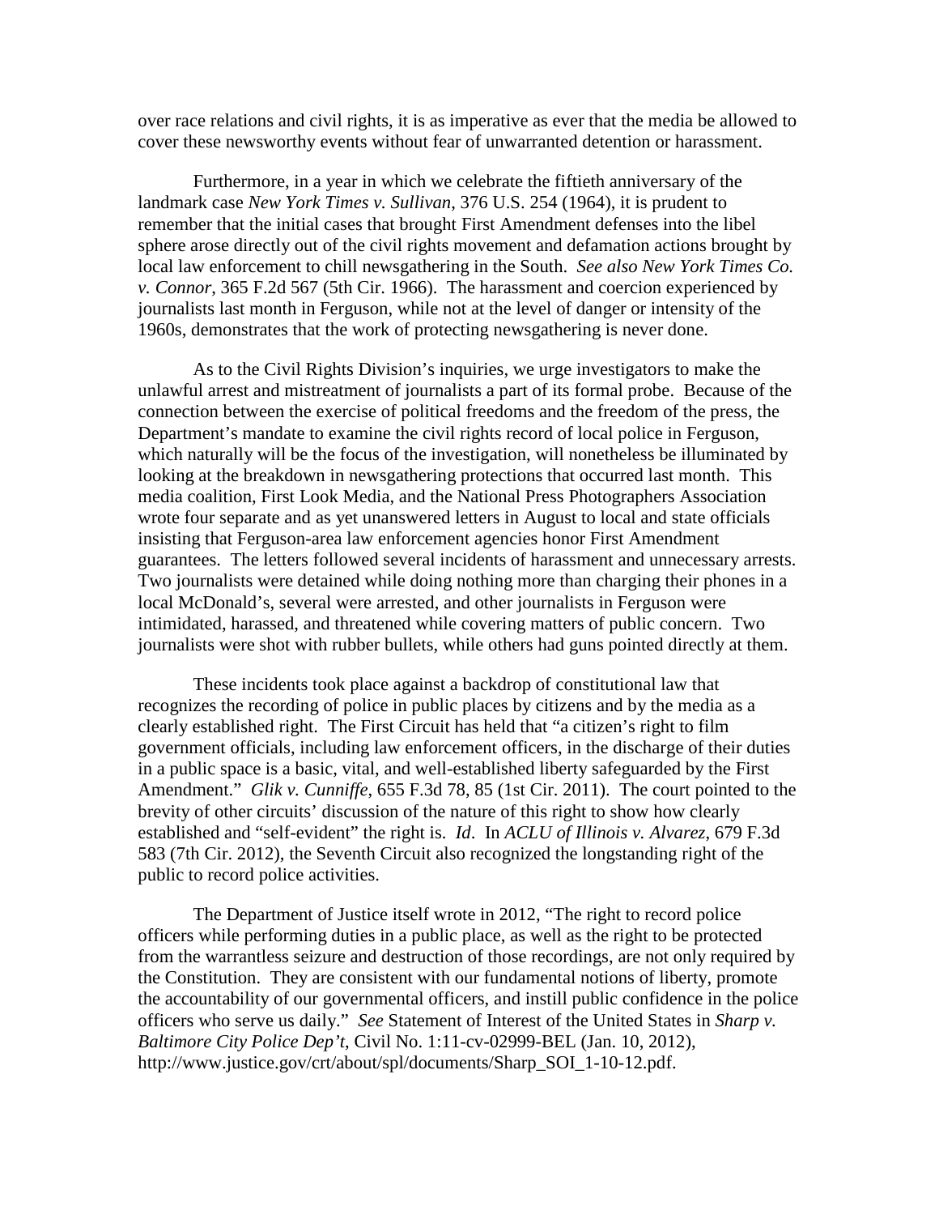over race relations and civil rights, it is as imperative as ever that the media be allowed to cover these newsworthy events without fear of unwarranted detention or harassment.

Furthermore, in a year in which we celebrate the fiftieth anniversary of the landmark case *New York Times v. Sullivan*, 376 U.S. 254 (1964), it is prudent to remember that the initial cases that brought First Amendment defenses into the libel sphere arose directly out of the civil rights movement and defamation actions brought by local law enforcement to chill newsgathering in the South. *See also New York Times Co. v. Connor*, 365 F.2d 567 (5th Cir. 1966). The harassment and coercion experienced by journalists last month in Ferguson, while not at the level of danger or intensity of the 1960s, demonstrates that the work of protecting newsgathering is never done.

As to the Civil Rights Division's inquiries, we urge investigators to make the unlawful arrest and mistreatment of journalists a part of its formal probe. Because of the connection between the exercise of political freedoms and the freedom of the press, the Department's mandate to examine the civil rights record of local police in Ferguson, which naturally will be the focus of the investigation, will nonetheless be illuminated by looking at the breakdown in newsgathering protections that occurred last month. This media coalition, First Look Media, and the National Press Photographers Association wrote four separate and as yet unanswered letters in August to local and state officials insisting that Ferguson-area law enforcement agencies honor First Amendment guarantees. The letters followed several incidents of harassment and unnecessary arrests. Two journalists were detained while doing nothing more than charging their phones in a local McDonald's, several were arrested, and other journalists in Ferguson were intimidated, harassed, and threatened while covering matters of public concern. Two journalists were shot with rubber bullets, while others had guns pointed directly at them.

These incidents took place against a backdrop of constitutional law that recognizes the recording of police in public places by citizens and by the media as a clearly established right. The First Circuit has held that "a citizen's right to film government officials, including law enforcement officers, in the discharge of their duties in a public space is a basic, vital, and well-established liberty safeguarded by the First Amendment." *Glik v. Cunniffe*, 655 F.3d 78, 85 (1st Cir. 2011). The court pointed to the brevity of other circuits' discussion of the nature of this right to show how clearly established and "self-evident" the right is. *Id*. In *ACLU of Illinois v. Alvarez*, 679 F.3d 583 (7th Cir. 2012), the Seventh Circuit also recognized the longstanding right of the public to record police activities.

The Department of Justice itself wrote in 2012, "The right to record police officers while performing duties in a public place, as well as the right to be protected from the warrantless seizure and destruction of those recordings, are not only required by the Constitution. They are consistent with our fundamental notions of liberty, promote the accountability of our governmental officers, and instill public confidence in the police officers who serve us daily." *See* Statement of Interest of the United States in *Sharp v. Baltimore City Police Dep't*, Civil No. 1:11-cv-02999-BEL (Jan. 10, 2012), http://www.justice.gov/crt/about/spl/documents/Sharp\_SOI\_1-10-12.pdf.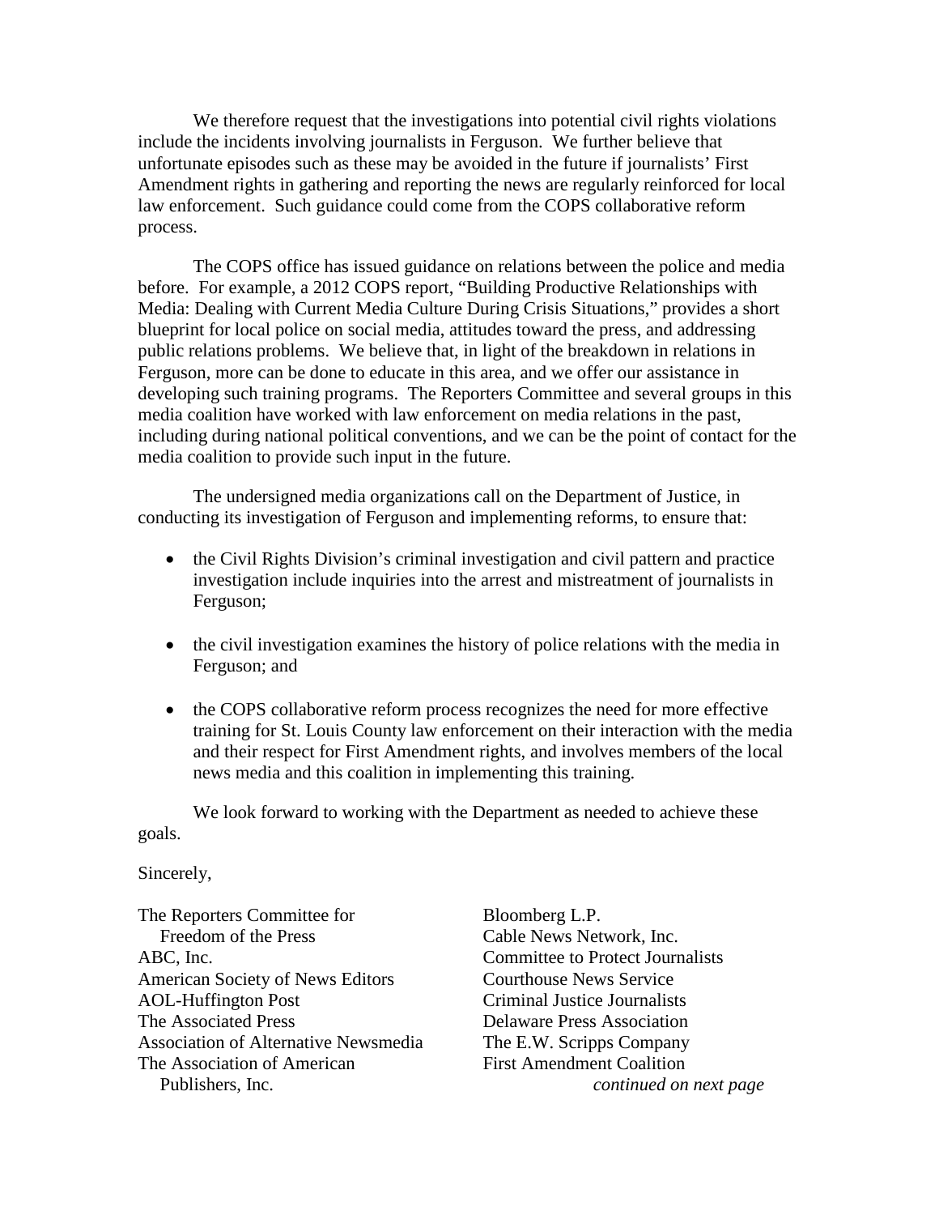We therefore request that the investigations into potential civil rights violations include the incidents involving journalists in Ferguson. We further believe that unfortunate episodes such as these may be avoided in the future if journalists' First Amendment rights in gathering and reporting the news are regularly reinforced for local law enforcement. Such guidance could come from the COPS collaborative reform process.

The COPS office has issued guidance on relations between the police and media before. For example, a 2012 COPS report, "Building Productive Relationships with Media: Dealing with Current Media Culture During Crisis Situations," provides a short blueprint for local police on social media, attitudes toward the press, and addressing public relations problems. We believe that, in light of the breakdown in relations in Ferguson, more can be done to educate in this area, and we offer our assistance in developing such training programs. The Reporters Committee and several groups in this media coalition have worked with law enforcement on media relations in the past, including during national political conventions, and we can be the point of contact for the media coalition to provide such input in the future.

The undersigned media organizations call on the Department of Justice, in conducting its investigation of Ferguson and implementing reforms, to ensure that:

- the Civil Rights Division's criminal investigation and civil pattern and practice investigation include inquiries into the arrest and mistreatment of journalists in Ferguson;
- the civil investigation examines the history of police relations with the media in Ferguson; and
- the COPS collaborative reform process recognizes the need for more effective training for St. Louis County law enforcement on their interaction with the media and their respect for First Amendment rights, and involves members of the local news media and this coalition in implementing this training.

We look forward to working with the Department as needed to achieve these goals.

Sincerely,

The Reporters Committee for Freedom of the Press ABC, Inc. American Society of News Editors AOL-Huffington Post The Associated Press Association of Alternative Newsmedia The Association of American Publishers, Inc.

Bloomberg L.P. Cable News Network, Inc. Committee to Protect Journalists Courthouse News Service Criminal Justice Journalists Delaware Press Association The E.W. Scripps Company First Amendment Coalition *continued on next page*